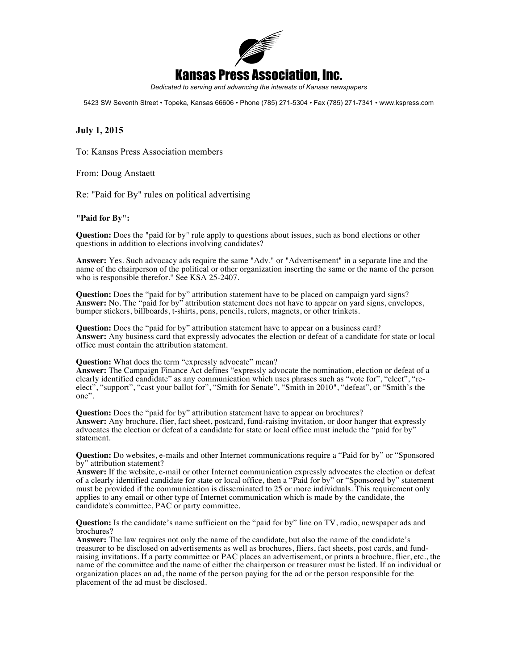

*Dedicated to serving and advancing the interests of Kansas newspapers* 

5423 SW Seventh Street • Topeka, Kansas 66606 • Phone (785) 271-5304 • Fax (785) 271-7341 • www.kspress.com

## **July 1, 2015**

To: Kansas Press Association members

From: Doug Anstaett

Re: "Paid for By" rules on political advertising

## **"Paid for By":**

**Question:** Does the "paid for by" rule apply to questions about issues, such as bond elections or other questions in addition to elections involving candidates?

**Answer:** Yes. Such advocacy ads require the same "Adv." or "Advertisement" in a separate line and the name of the chairperson of the political or other organization inserting the same or the name of the person who is responsible therefor." See KSA 25-2407.

**Question:** Does the "paid for by" attribution statement have to be placed on campaign yard signs? **Answer:** No. The "paid for by" attribution statement does not have to appear on yard signs, envelopes, bumper stickers, billboards, t-shirts, pens, pencils, rulers, magnets, or other trinkets.

**Question:** Does the "paid for by" attribution statement have to appear on a business card? **Answer:** Any business card that expressly advocates the election or defeat of a candidate for state or local office must contain the attribution statement.

## **Question:** What does the term "expressly advocate" mean?

**Answer:** The Campaign Finance Act defines "expressly advocate the nomination, election or defeat of a clearly identified candidate" as any communication which uses phrases such as "vote for", "elect", "reelect", "support", "cast your ballot for", "Smith for Senate", "Smith in 2010", "defeat", or "Smith's the one".

**Question:** Does the "paid for by" attribution statement have to appear on brochures? **Answer:** Any brochure, flier, fact sheet, postcard, fund-raising invitation, or door hanger that expressly advocates the election or defeat of a candidate for state or local office must include the "paid for by" statement.

**Question:** Do websites, e-mails and other Internet communications require a "Paid for by" or "Sponsored by" attribution statement?

**Answer:** If the website, e-mail or other Internet communication expressly advocates the election or defeat of a clearly identified candidate for state or local office, then a "Paid for by" or "Sponsored by" statement must be provided if the communication is disseminated to 25 or more individuals. This requirement only applies to any email or other type of Internet communication which is made by the candidate, the candidate's committee, PAC or party committee.

**Question:** Is the candidate's name sufficient on the "paid for by" line on TV, radio, newspaper ads and brochures?

**Answer:** The law requires not only the name of the candidate, but also the name of the candidate's treasurer to be disclosed on advertisements as well as brochures, fliers, fact sheets, post cards, and fundraising invitations. If a party committee or PAC places an advertisement, or prints a brochure, flier, etc., the name of the committee and the name of either the chairperson or treasurer must be listed. If an individual or organization places an ad, the name of the person paying for the ad or the person responsible for the placement of the ad must be disclosed.